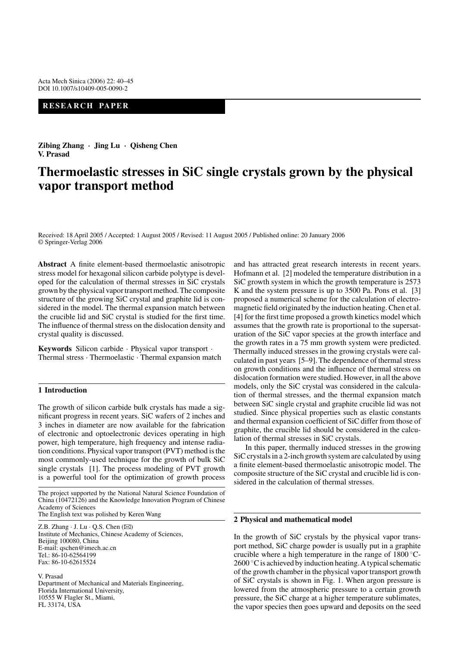## **RESEARCH PAPER**

**Zibing Zhang** *·* **Jing Lu** *·* **Qisheng Chen V. Prasad**

# **Thermoelastic stresses in SiC single crystals grown by the physical vapor transport method**

Received: 18 April 2005 / Accepted: 1 August 2005 / Revised: 11 August 2005 / Published online: 20 January 2006 © Springer-Verlag 2006

**Abstract** A finite element-based thermoelastic anisotropic stress model for hexagonal silicon carbide polytype is developed for the calculation of thermal stresses in SiC crystals grown by the physical vapor transport method. The composite structure of the growing SiC crystal and graphite lid is considered in the model. The thermal expansion match between the crucible lid and SiC crystal is studied for the first time. The influence of thermal stress on the dislocation density and crystal quality is discussed.

**Keywords** Silicon carbide · Physical vapor transport · Thermal stress · Thermoelastic · Thermal expansion match

#### **1 Introduction**

The growth of silicon carbide bulk crystals has made a significant progress in recent years. SiC wafers of 2 inches and 3 inches in diameter are now available for the fabrication of electronic and optoelectronic devices operating in high power, high temperature, high frequency and intense radiation conditions. Physical vapor transport (PVT) method is the most commonly-used technique for the growth of bulk SiC single crystals [1]. The process modeling of PVT growth is a powerful tool for the optimization of growth process

The project supported by the National Natural Science Foundation of China (10472126) and the Knowledge Innovation Program of Chinese Academy of Sciences The English text was polished by Keren Wang

Z.B. Zhang  $\cdot$  J. Lu  $\cdot$  Q.S. Chen ( $\boxtimes$ ) Institute of Mechanics, Chinese Academy of Sciences, Beijing 100080, China E-mail: qschen@imech.ac.cn Tel.: 86-10-62564199 Fax: 86-10-62615524

V. Prasad Department of Mechanical and Materials Engineering, Florida International University, 10555 W Flagler St., Miami, FL 33174, USA

and has attracted great research interests in recent years. Hofmann et al. [2] modeled the temperature distribution in a SiC growth system in which the growth temperature is 2573 K and the system pressure is up to 3500 Pa. Pons et al. [3] proposed a numerical scheme for the calculation of electromagnetic field originated by the induction heating. Chen et al. [4] for the first time proposed a growth kinetics model which assumes that the growth rate is proportional to the supersaturation of the SiC vapor species at the growth interface and the growth rates in a 75 mm growth system were predicted. Thermally induced stresses in the growing crystals were calculated in past years [5–9]. The dependence of thermal stress on growth conditions and the influence of thermal stress on dislocation formation were studied. However, in all the above models, only the SiC crystal was considered in the calculation of thermal stresses, and the thermal expansion match between SiC single crystal and graphite crucible lid was not studied. Since physical properties such as elastic constants and thermal expansion coefficient of SiC differ from those of graphite, the crucible lid should be considered in the calculation of thermal stresses in SiC crystals.

In this paper, thermally induced stresses in the growing SiC crystals in a 2-inch growth system are calculated by using a finite element-based thermoelastic anisotropic model. The composite structure of the SiC crystal and crucible lid is considered in the calculation of thermal stresses.

#### **2 Physical and mathematical model**

In the growth of SiC crystals by the physical vapor transport method, SiC charge powder is usually put in a graphite crucible where a high temperature in the range of  $1800^{\circ}$ C- $2600 °C$  is achieved by induction heating. A typical schematic of the growth chamber in the physical vapor transport growth of SiC crystals is shown in Fig. 1. When argon pressure is lowered from the atmospheric pressure to a certain growth pressure, the SiC charge at a higher temperature sublimates, the vapor species then goes upward and deposits on the seed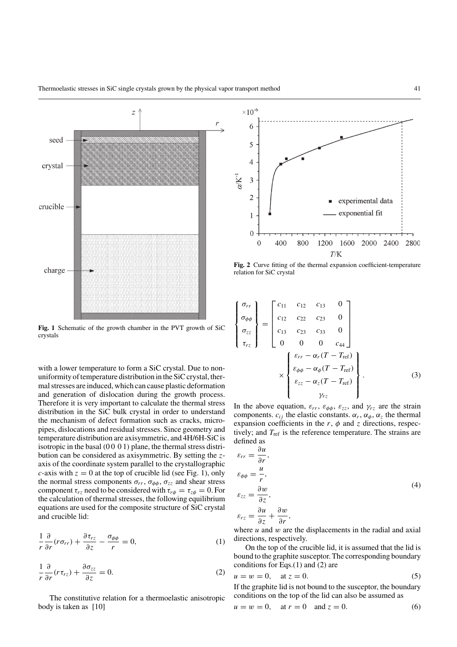

**Fig. 1** Schematic of the growth chamber in the PVT growth of SiC crystals

with a lower temperature to form a SiC crystal. Due to nonuniformity of temperature distribution in the SiC crystal, thermal stresses are induced, which can cause plastic deformation and generation of dislocation during the growth process. Therefore it is very important to calculate the thermal stress distribution in the SiC bulk crystal in order to understand the mechanism of defect formation such as cracks, micropipes, dislocations and residual stresses. Since geometry and temperature distribution are axisymmetric, and 4H/6H-SiC is isotropic in the basal  $(00 01)$  plane, the thermal stress distribution can be considered as axisymmetric. By setting the zaxis of the coordinate system parallel to the crystallographic c-axis with  $z = 0$  at the top of crucible lid (see Fig. 1), only the normal stress components  $\sigma_{rr}$ ,  $\sigma_{\phi\phi}$ ,  $\sigma_{zz}$  and shear stress component  $\tau_{rz}$  need to be considered with  $\tau_{r\phi} = \tau_{z\phi} = 0$ . For the calculation of thermal stresses, the following equilibrium equations are used for the composite structure of SiC crystal and crucible lid:

$$
\frac{1}{r}\frac{\partial}{\partial r}(r\sigma_{rr}) + \frac{\partial \tau_{rz}}{\partial z} - \frac{\sigma_{\phi\phi}}{r} = 0, \tag{1}
$$

$$
\frac{1}{r}\frac{\partial}{\partial r}(r\tau_{rz}) + \frac{\partial \sigma_{zz}}{\partial z} = 0.
$$
 (2)

The constitutive relation for a thermoelastic anisotropic body is taken as [10]



**Fig. 2** Curve fitting of the thermal expansion coefficient-temperature relation for SiC crystal

$$
\begin{Bmatrix}\n\sigma_{rr} \\
\sigma_{\phi\phi} \\
\sigma_{zz} \\
\tau_{rz}\n\end{Bmatrix} = \begin{bmatrix}\nc_{11} & c_{12} & c_{13} & 0 \\
c_{12} & c_{22} & c_{23} & 0 \\
c_{13} & c_{23} & c_{33} & 0 \\
0 & 0 & 0 & c_{44}\n\end{bmatrix}
$$
\n
$$
\times \begin{Bmatrix}\n\varepsilon_{rr} - \alpha_r(T - T_{\text{ref}}) \\
\varepsilon_{\phi\phi} - \alpha_{\phi}(T - T_{\text{ref}}) \\
\varepsilon_{zz} - \alpha_z(T - T_{\text{ref}})\n\end{Bmatrix}.
$$
\n(3)

In the above equation,  $\varepsilon_{rr}$ ,  $\varepsilon_{\phi\phi}$ ,  $\varepsilon_{zz}$ , and  $\gamma_{rz}$  are the strain components.  $c_{ij}$  the elastic constants.  $\alpha_r$ ,  $\alpha_{\phi}$ ,  $\alpha_{\bar{z}}$  the thermal expansion coefficients in the  $r$ ,  $\phi$  and z directions, respectively; and  $T_{ref}$  is the reference temperature. The strains are defined as

$$
\varepsilon_{rr} = \frac{\partial u}{\partial r},
$$
  
\n
$$
\varepsilon_{\phi\phi} = \frac{u}{r},
$$
  
\n
$$
\varepsilon_{zz} = \frac{\partial w}{\partial z},
$$
  
\n
$$
\varepsilon_{rz} = \frac{\partial u}{\partial z} + \frac{\partial w}{\partial r},
$$
\n(4)

where  $u$  and  $w$  are the displacements in the radial and axial directions, respectively.

On the top of the crucible lid, it is assumed that the lid is bound to the graphite susceptor. The corresponding boundary conditions for Eqs.(1) and (2) are

$$
u = w = 0, \quad \text{at } z = 0. \tag{5}
$$

If the graphite lid is not bound to the susceptor, the boundary conditions on the top of the lid can also be assumed as

$$
u = w = 0
$$
, at  $r = 0$  and  $z = 0$ . (6)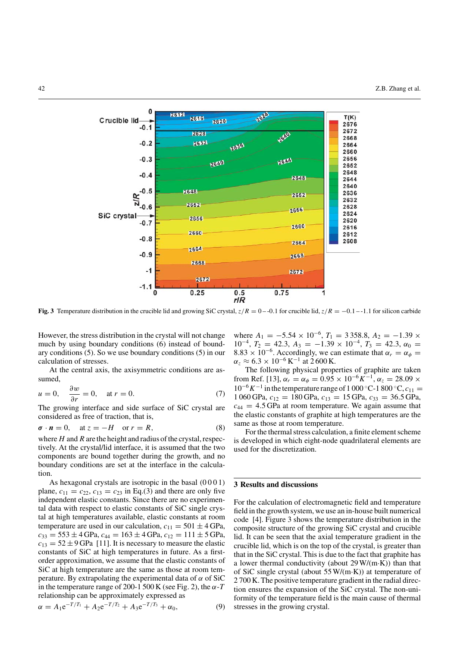

**Fig. 3** Temperature distribution in the crucible lid and growing SiC crystal,  $z/R = 0 - 0.1$  for crucible lid,  $z/R = -0.1 - 1.1$  for silicon carbide

However, the stress distribution in the crystal will not change much by using boundary conditions (6) instead of boundary conditions (5). So we use boundary conditions (5) in our calculation of stresses.

At the central axis, the axisymmetric conditions are assumed,

$$
u = 0, \quad \frac{\partial w}{\partial r} = 0, \quad \text{at } r = 0. \tag{7}
$$

The growing interface and side surface of SiC crystal are considered as free of traction, that is,

$$
\sigma \cdot n = 0, \quad \text{at } z = -H \quad \text{or } r = R,
$$
 (8)

where  $H$  and  $R$  are the height and radius of the crystal, respectively. At the crystal/lid interface, it is assumed that the two components are bound together during the growth, and no boundary conditions are set at the interface in the calculation.

As hexagonal crystals are isotropic in the basal (0001) plane,  $c_{11} = c_{22}$ ,  $c_{13} = c_{23}$  in Eq.(3) and there are only five independent elastic constants. Since there are no experimental data with respect to elastic constants of SiC single crystal at high temperatures available, elastic constants at room temperature are used in our calculation,  $c_{11} = 501 \pm 4$  GPa,  $c_{33} = 553 \pm 4$  GPa,  $c_{44} = 163 \pm 4$  GPa,  $c_{12} = 111 \pm 5$  GPa,  $c_{13} = 52 \pm 9$  GPa [11]. It is necessary to measure the elastic constants of SiC at high temperatures in future. As a firstorder approximation, we assume that the elastic constants of SiC at high temperature are the same as those at room temperature. By extrapolating the experimental data of  $\alpha$  of SiC in the temperature range of 200-1 500 K (see Fig. 2), the  $\alpha$ -T relationship can be approximately expressed as

$$
\alpha = A_1 e^{-T/T_1} + A_2 e^{-T/T_2} + A_3 e^{-T/T_3} + \alpha_0, \tag{9}
$$

where  $A_1 = -5.54 \times 10^{-6}$ ,  $T_1 = 3358.8$ ,  $A_2 = -1.39 \times$  $10^{-4}$ ,  $T_2 = 42.3$ ,  $A_3 = -1.39 \times 10^{-4}$ ,  $T_3 = 42.3$ ,  $\alpha_0 =$ 8.83 × 10<sup>-6</sup>. Accordingly, we can estimate that  $\alpha_r = \alpha_\phi =$  $\alpha_z \approx 6.3 \times 10^{-6} \,\mathrm{K}^{-1}$  at 2600 K.

The following physical properties of graphite are taken from Ref. [13],  $\alpha_r = \alpha_\phi = 0.95 \times 10^{-6} K^{-1}$ ,  $\alpha_z = 28.09 \times$  $10^{-6}K^{-1}$  in the temperature range of 1 000 °C-1 800 °C,  $c_{11} =$ 1 060 GPa,  $c_{12} = 180$  GPa,  $c_{13} = 15$  GPa,  $c_{33} = 36.5$  GPa,  $c_{44} = 4.5$  GPa at room temperature. We again assume that the elastic constants of graphite at high temperatures are the same as those at room temperature.

For the thermal stress calculation, a finite element scheme is developed in which eight-node quadrilateral elements are used for the discretization.

### **3 Results and discussions**

For the calculation of electromagnetic field and temperature field in the growth system, we use an in-house built numerical code [4]. Figure 3 shows the temperature distribution in the composite structure of the growing SiC crystal and crucible lid. It can be seen that the axial temperature gradient in the crucible lid, which is on the top of the crystal, is greater than that in the SiC crystal. This is due to the fact that graphite has a lower thermal conductivity (about  $29 W/(m \cdot K)$ ) than that of SiC single crystal (about 55 W/(m·K)) at temperature of 2 700 K. The positive temperature gradient in the radial direction ensures the expansion of the SiC crystal. The non-uniformity of the temperature field is the main cause of thermal stresses in the growing crystal.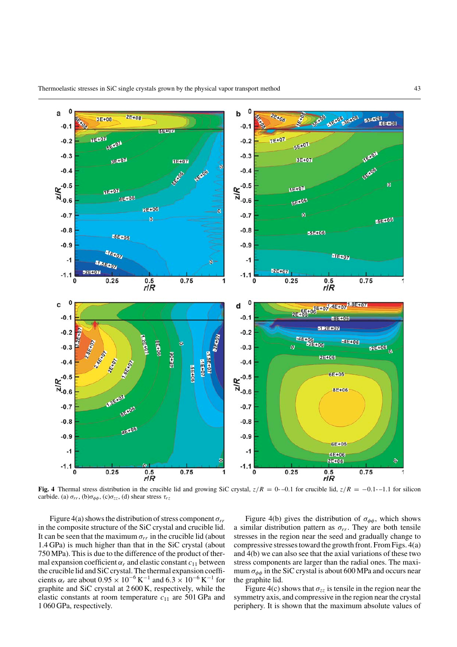

**Fig. 4** Thermal stress distribution in the crucible lid and growing SiC crystal,  $z/R = 0-0.1$  for crucible lid,  $z/R = -0.1-1.1$  for silicon carbide. (a)  $\sigma_{rr}$ , (b) $\sigma_{\phi\phi}$ , (c) $\sigma_{zz}$ , (d) shear stress  $\tau_{rz}$ 

Figure 4(a) shows the distribution of stress component  $\sigma_{rr}$ in the composite structure of the SiC crystal and crucible lid. It can be seen that the maximum  $\sigma_{rr}$  in the crucible lid (about 1.4 GPa) is much higher than that in the SiC crystal (about 750 MPa). This is due to the difference of the product of thermal expansion coefficient  $\alpha_r$  and elastic constant  $c_{11}$  between the crucible lid and SiC crystal. The thermal expansion coefficients  $\alpha_r$  are about  $0.95 \times 10^{-6}$  K<sup>-1</sup> and  $6.3 \times 10^{-6}$  K<sup>-1</sup> for graphite and SiC crystal at 2 600 K, respectively, while the elastic constants at room temperature  $c_{11}$  are 501 GPa and 1 060 GPa, respectively.

Figure 4(b) gives the distribution of  $\sigma_{\phi\phi}$ , which shows a similar distribution pattern as  $\sigma_{rr}$ . They are both tensile stresses in the region near the seed and gradually change to compressive stresses toward the growth front. From Figs. 4(a) and 4(b) we can also see that the axial variations of these two stress components are larger than the radial ones. The maximum  $\sigma_{\phi\phi}$  in the SiC crystal is about 600 MPa and occurs near the graphite lid.

Figure 4(c) shows that  $\sigma_{zz}$  is tensile in the region near the symmetry axis, and compressive in the region near the crystal periphery. It is shown that the maximum absolute values of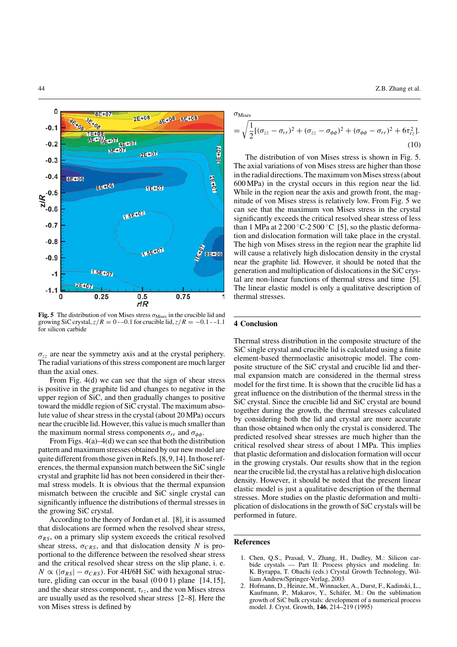

**Fig. 5** The distribution of von Mises stress  $\sigma_{\text{Mises}}$  in the crucible lid and growing SiC crystal,  $z/R = 0 - 0.1$  for crucible lid,  $z/R = -0.1 - 1.1$ for silicon carbide

 $\sigma_{zz}$  are near the symmetry axis and at the crystal periphery. The radial variations of this stress component are much larger than the axial ones.

From Fig. 4(d) we can see that the sign of shear stress is positive in the graphite lid and changes to negative in the upper region of SiC, and then gradually changes to positive toward the middle region of SiC crystal. The maximum absolute value of shear stress in the crystal (about 20 MPa) occurs near the crucible lid. However, this value is much smaller than the maximum normal stress components  $\sigma_{rr}$  and  $\sigma_{\phi\phi}$ .

From Figs. 4(a)–4(d) we can see that both the distribution pattern and maximum stresses obtained by our new model are quite different from those given in Refs. [8,9,14]. In those references, the thermal expansion match between the SiC single crystal and graphite lid has not been considered in their thermal stress models. It is obvious that the thermal expansion mismatch between the crucible and SiC single crystal can significantly influence the distributions of thermal stresses in the growing SiC crystal.

According to the theory of Jordan et al. [8], it is assumed that dislocations are formed when the resolved shear stress,  $\sigma_{RS}$ , on a primary slip system exceeds the critical resolved shear stress,  $\sigma_{CRS}$ , and that dislocation density N is proportional to the difference between the resolved shear stress and the critical resolved shear stress on the slip plane, i. e.  $N \propto (|\sigma_{RS}| - \sigma_{CRS})$ . For 4H/6H SiC with hexagonal structure, gliding can occur in the basal  $(0001)$  plane [14,15], and the shear stress component,  $\tau_{rz}$ , and the von Mises stress are usually used as the resolved shear stress [2–8]. Here the von Mises stress is defined by

 $\sigma_{\text{Mises}}$ 

$$
= \sqrt{\frac{1}{2}[(\sigma_{zz} - \sigma_{rr})^2 + (\sigma_{zz} - \sigma_{\phi\phi})^2 + (\sigma_{\phi\phi} - \sigma_{rr})^2 + 6\tau_{rz}^2]}.
$$
\n(10)

The distribution of von Mises stress is shown in Fig. 5. The axial variations of von Mises stress are higher than those in the radial directions.The maximum von Mises stress (about 600 MPa) in the crystal occurs in this region near the lid. While in the region near the axis and growth front, the magnitude of von Mises stress is relatively low. From Fig. 5 we can see that the maximum von Mises stress in the crystal significantly exceeds the critical resolved shear stress of less than 1 MPa at  $2200\degree$ C-2500 $\degree$ C [5], so the plastic deformation and dislocation formation will take place in the crystal. The high von Mises stress in the region near the graphite lid will cause a relatively high dislocation density in the crystal near the graphite lid. However, it should be noted that the generation and multiplication of dislocations in the SiC crystal are non-linear functions of thermal stress and time [5]. The linear elastic model is only a qualitative description of thermal stresses.

#### **4 Conclusion**

Thermal stress distribution in the composite structure of the SiC single crystal and crucible lid is calculated using a finite element-based thermoelastic anisotropic model. The composite structure of the SiC crystal and crucible lid and thermal expansion match are considered in the thermal stress model for the first time. It is shown that the crucible lid has a great influence on the distribution of the thermal stress in the SiC crystal. Since the crucible lid and SiC crystal are bound together during the growth, the thermal stresses calculated by considering both the lid and crystal are more accurate than those obtained when only the crystal is considered. The predicted resolved shear stresses are much higher than the critical resolved shear stress of about 1 MPa. This implies that plastic deformation and dislocation formation will occur in the growing crystals. Our results show that in the region near the crucible lid, the crystal has a relative high dislocation density. However, it should be noted that the present linear elastic model is just a qualitative description of the thermal stresses. More studies on the plastic deformation and multiplication of dislocations in the growth of SiC crystals will be performed in future.

#### **References**

- 1. Chen, Q.S., Prasad, V., Zhang, H., Dudley, M.: Silicon carbide crystals — Part II: Process physics and modeling. In: K. Byrappa, T. Ohachi (eds.) Crystal Growth Technology, William Andrew/Springer-Verlag, 2003
- 2. Hofmann, D., Heinze, M., Winnacker, A., Durst, F., Kadinski, L., Kaufmann, P., Makarov, Y., Schäfer, M.: On the sublimation growth of SiC bulk crystals: development of a numerical process model. J. Cryst. Growth, **146**, 214–219 (1995)